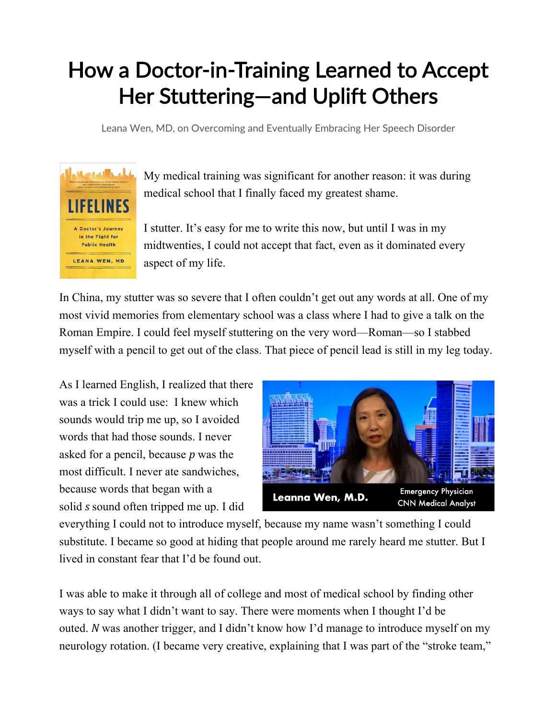## How a Doctor-in-Training Learned to Accept Her Stuttering—and Uplift Others

Leana Wen, MD, on Overcoming and Eventually Embracing Her Speech Disorder



My medical training was significant for another reason: it was during medical school that I finally faced my greatest shame.

I stutter. It's easy for me to write this now, but until I was in my midtwenties, I could not accept that fact, even as it dominated every aspect of my life.

In China, my stutter was so severe that I often couldn't get out any words at all. One of my most vivid memories from elementary school was a class where I had to give a talk on the Roman Empire. I could feel myself stuttering on the very word—Roman—so I stabbed myself with a pencil to get out of the class. That piece of pencil lead is still in my leg today.

As I learned English, I realized that there was a trick I could use: I knew which sounds would trip me up, so I avoided words that had those sounds. I never asked for a pencil, because *p* was the most difficult. I never ate sandwiches, because words that began with a solid *s* sound often tripped me up. I did



everything I could not to introduce myself, because my name wasn't something I could substitute. I became so good at hiding that people around me rarely heard me stutter. But I lived in constant fear that I'd be found out.

I was able to make it through all of college and most of medical school by finding other ways to say what I didn't want to say. There were moments when I thought I'd be outed. *N* was another trigger, and I didn't know how I'd manage to introduce myself on my neurology rotation. (I became very creative, explaining that I was part of the "stroke team,"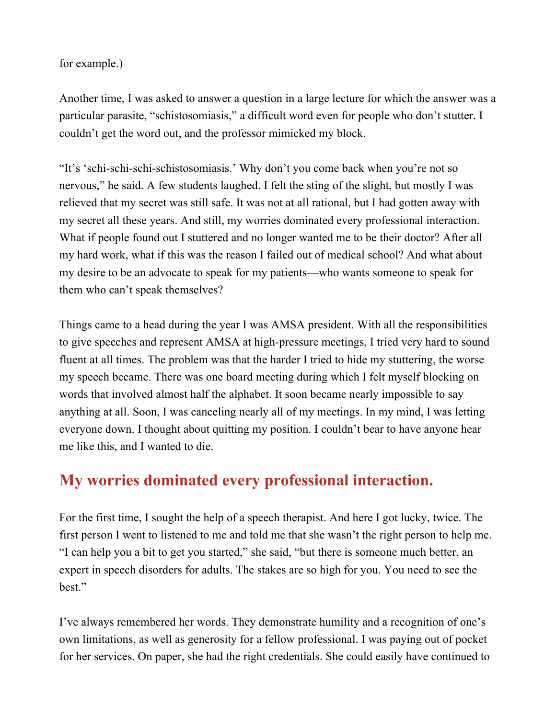for example.)

Another time, I was asked to answer a question in a large lecture for which the answer was a particular parasite, "schistosomiasis," a difficult word even for people who don't stutter. I couldn't get the word out, and the professor mimicked my block.

"It's 'schi-schi-schi-schistosomiasis.' Why don't you come back when you're not so nervous," he said. A few students laughed. I felt the sting of the slight, but mostly I was relieved that my secret was still safe. It was not at all rational, but I had gotten away with my secret all these years. And still, my worries dominated every professional interaction. What if people found out I stuttered and no longer wanted me to be their doctor? After all my hard work, what if this was the reason I failed out of medical school? And what about my desire to be an advocate to speak for my patients—who wants someone to speak for them who can't speak themselves?

Things came to a head during the year I was AMSA president. With all the responsibilities to give speeches and represent AMSA at high-pressure meetings, I tried very hard to sound fluent at all times. The problem was that the harder I tried to hide my stuttering, the worse my speech became. There was one board meeting during which I felt myself blocking on words that involved almost half the alphabet. It soon became nearly impossible to say anything at all. Soon, I was canceling nearly all of my meetings. In my mind, I was letting everyone down. I thought about quitting my position. I couldn't bear to have anyone hear me like this, and I wanted to die.

## **My worries dominated every professional interaction.**

For the first time, I sought the help of a speech therapist. And here I got lucky, twice. The first person I went to listened to me and told me that she wasn't the right person to help me. "I can help you a bit to get you started," she said, "but there is someone much better, an expert in speech disorders for adults. The stakes are so high for you. You need to see the best."

I've always remembered her words. They demonstrate humility and a recognition of one's own limitations, as well as generosity for a fellow professional. I was paying out of pocket for her services. On paper, she had the right credentials. She could easily have continued to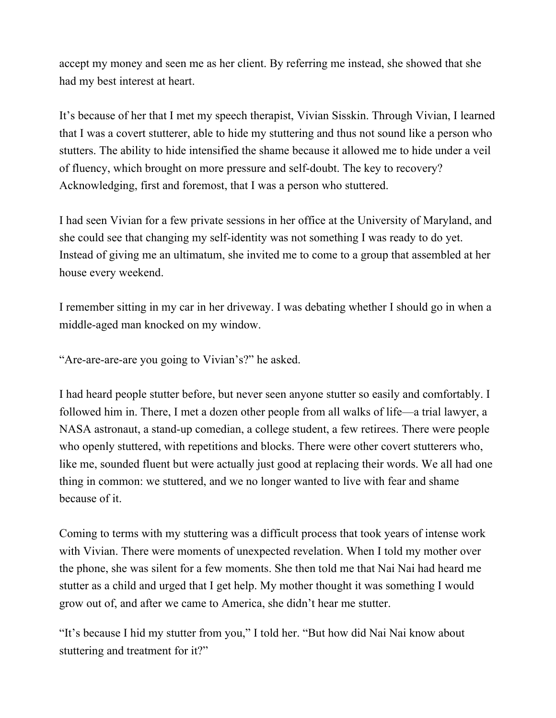accept my money and seen me as her client. By referring me instead, she showed that she had my best interest at heart.

It's because of her that I met my speech therapist, Vivian Sisskin. Through Vivian, I learned that I was a covert stutterer, able to hide my stuttering and thus not sound like a person who stutters. The ability to hide intensified the shame because it allowed me to hide under a veil of fluency, which brought on more pressure and self-doubt. The key to recovery? Acknowledging, first and foremost, that I was a person who stuttered.

I had seen Vivian for a few private sessions in her office at the University of Maryland, and she could see that changing my self-identity was not something I was ready to do yet. Instead of giving me an ultimatum, she invited me to come to a group that assembled at her house every weekend.

I remember sitting in my car in her driveway. I was debating whether I should go in when a middle-aged man knocked on my window.

"Are-are-are-are you going to Vivian's?" he asked.

I had heard people stutter before, but never seen anyone stutter so easily and comfortably. I followed him in. There, I met a dozen other people from all walks of life—a trial lawyer, a NASA astronaut, a stand-up comedian, a college student, a few retirees. There were people who openly stuttered, with repetitions and blocks. There were other covert stutterers who, like me, sounded fluent but were actually just good at replacing their words. We all had one thing in common: we stuttered, and we no longer wanted to live with fear and shame because of it.

Coming to terms with my stuttering was a difficult process that took years of intense work with Vivian. There were moments of unexpected revelation. When I told my mother over the phone, she was silent for a few moments. She then told me that Nai Nai had heard me stutter as a child and urged that I get help. My mother thought it was something I would grow out of, and after we came to America, she didn't hear me stutter.

"It's because I hid my stutter from you," I told her. "But how did Nai Nai know about stuttering and treatment for it?"